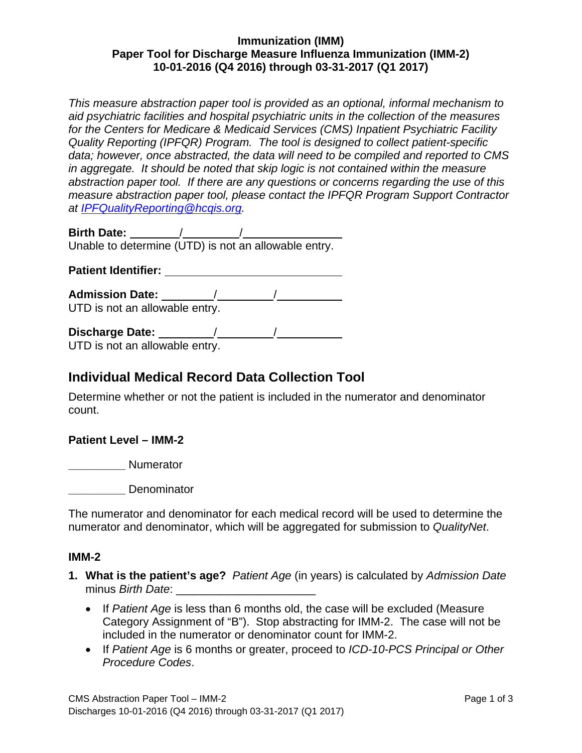## **Immunization (IMM) Paper Tool for Discharge Measure Influenza Immunization (IMM-2) 10-01-2016 (Q4 2016) through 03-31-2017 (Q1 2017)**

*This measure abstraction paper tool is provided as an optional, informal mechanism to aid psychiatric facilities and hospital psychiatric units in the collection of the measures for the Centers for Medicare & Medicaid Services (CMS) Inpatient Psychiatric Facility Quality Reporting (IPFQR) Program. The tool is designed to collect patient-specific data; however, once abstracted, the data will need to be compiled and reported to CMS in aggregate. It should be noted that skip logic is not contained within the measure abstraction paper tool. If there are any questions or concerns regarding the use of this measure abstraction paper tool, please contact the IPFQR Program Support Contractor at [IPFQualityReporting@hcqis.org.](mailto:IPFQualityReporting@hcqis.org)*

**Birth Date:** / /

Unable to determine (UTD) is not an allowable entry.

**Patient Identifier:**

**Admission Date:** / / UTD is not an allowable entry.

| <b>Discharge Date:</b>         |  |  |
|--------------------------------|--|--|
| UTD is not an allowable entry. |  |  |

UTD is not an allowable entry.

# **Individual Medical Record Data Collection Tool**

Determine whether or not the patient is included in the numerator and denominator count.

# **Patient Level – IMM-2**

**\_\_\_\_\_\_\_\_\_**  Numerator

**\_\_\_\_\_\_\_\_\_**  Denominator

The numerator and denominator for each medical record will be used to determine the numerator and denominator, which will be aggregated for submission to *QualityNet*.

#### **IMM-2**

- **1. What is the patient's age?** *Patient Age* (in years) is calculated by *Admission Date* minus *Birth Date*:
	- If *Patient Age* is less than 6 months old, the case will be excluded (Measure Category Assignment of "B"). Stop abstracting for IMM-2. The case will not be included in the numerator or denominator count for IMM-2.
	- If *Patient Age* is 6 months or greater, proceed to *ICD-10-PCS Principal or Other Procedure Codes*.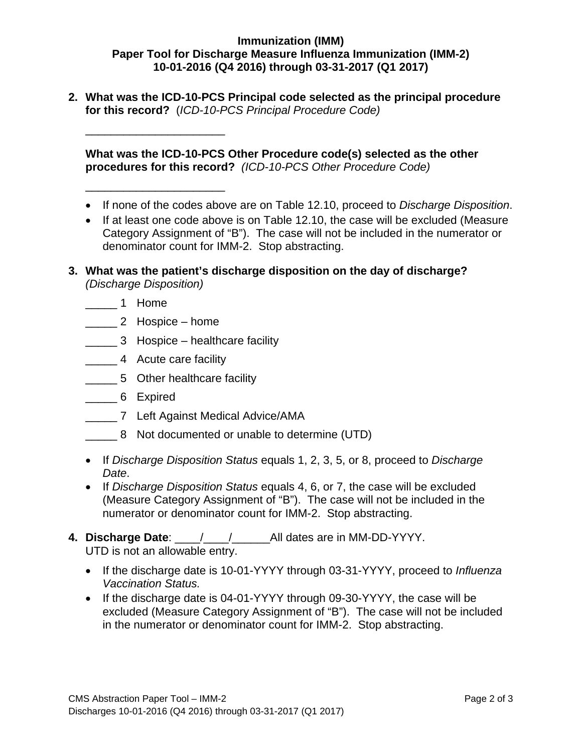## **Immunization (IMM) Paper Tool for Discharge Measure Influenza Immunization (IMM-2) 10-01-2016 (Q4 2016) through 03-31-2017 (Q1 2017)**

**2. What was the ICD-10-PCS Principal code selected as the principal procedure for this record?** (*ICD-10-PCS Principal Procedure Code)*

**What was the ICD-10-PCS Other Procedure code(s) selected as the other procedures for this record?** *(ICD-10-PCS Other Procedure Code)*

- If none of the codes above are on Table 12.10, proceed to *Discharge Disposition*.
- If at least one code above is on Table 12.10, the case will be excluded (Measure Category Assignment of "B"). The case will not be included in the numerator or denominator count for IMM-2. Stop abstracting.
- **3. What was the patient's discharge disposition on the day of discharge?** *(Discharge Disposition)*
	- \_\_\_\_\_ 1 Home
	- \_\_\_\_\_ 2 Hospice home

\_\_\_\_\_\_\_\_\_\_\_\_\_\_\_\_\_\_\_\_\_\_

\_\_\_\_\_\_\_\_\_\_\_\_\_\_\_\_\_\_\_\_\_\_

- \_\_\_\_\_ 3 Hospice healthcare facility
- \_\_\_\_\_ 4 Acute care facility
- \_\_\_\_\_ 5 Other healthcare facility
- \_\_\_\_\_ 6 Expired
- \_\_\_\_\_ 7 Left Against Medical Advice/AMA
- \_\_\_\_\_ 8 Not documented or unable to determine (UTD)
- If *Discharge Disposition Status* equals 1, 2, 3, 5, or 8, proceed to *Discharge Date*.
- If *Discharge Disposition Status* equals 4, 6, or 7, the case will be excluded (Measure Category Assignment of "B"). The case will not be included in the numerator or denominator count for IMM-2. Stop abstracting.
- **4. Discharge Date**: \_\_\_\_/\_\_\_\_/\_\_\_\_\_\_All dates are in MM-DD-YYYY. UTD is not an allowable entry.
	- If the discharge date is 10-01-YYYY through 03-31-YYYY, proceed to *Influenza Vaccination Status.*
	- If the discharge date is 04-01-YYYY through 09-30-YYYY, the case will be excluded (Measure Category Assignment of "B"). The case will not be included in the numerator or denominator count for IMM-2. Stop abstracting.